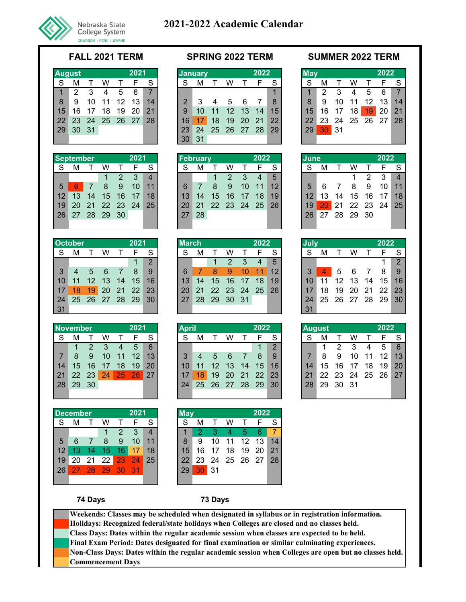

|    | August |    |      |    | 2021 |    |
|----|--------|----|------|----|------|----|
| S  | м      |    | w    |    | F    | S  |
| 1  | 2      | 3  | 4    | 5  | 6    |    |
| 8  | 9      | 10 | 11   | 12 | 13   | 14 |
| 15 | 16     | 17 | 18   | 19 | 20   | 21 |
| 22 | 23     | 24 | - 25 | 26 | - 27 | 28 |
| 29 | 30     | 31 |      |    |      |    |
|    |        |    |      |    |      |    |

|                | <b>September</b> |       |          |    | 2021 |    |
|----------------|------------------|-------|----------|----|------|----|
| S              | м                |       | w        |    | F    | S  |
|                |                  |       |          | 2  | 3    |    |
| $\overline{5}$ | 6                |       | 8        | 9  | 10   | 11 |
| 12             | 13               | 14    | 15       | 16 | 17   | 18 |
| 19             | 20               |       | 21 22 23 |    | -24  | 25 |
| 26             |                  | 27 28 | - 29     | 30 |      |    |

| <b>October</b> |    |    |    |    | 2021          |                | <b>March</b> |    |             |          |    | 2022 |    |
|----------------|----|----|----|----|---------------|----------------|--------------|----|-------------|----------|----|------|----|
| S              |    |    |    |    |               | S              | S            | М  |             | w        |    |      | S  |
|                |    |    |    |    |               | $\overline{2}$ |              |    |             | 2        | З  | 4    | 5  |
| 3              |    | 5  | 6  |    | 8             | 9              | 6            |    |             | 9        | 10 | 11   | 12 |
| <b>10</b>      |    | 12 | 13 | 14 | 15            | 16             | 13           | 14 | 15          | 16       | 17 | 18   | 19 |
|                | 18 | 19 | 20 |    | $21 \quad 22$ | 23             | 20           | 21 | 22 23 24 25 |          |    |      | 26 |
| -24            |    |    |    |    |               | 30             | 27           | 28 |             | 29 30 31 |    |      |    |
| 31             |    |    |    |    |               |                |              |    |             |          |    |      |    |

| <b>November</b> |    |               |    |                 | 2021  |    |
|-----------------|----|---------------|----|-----------------|-------|----|
| S               | м  |               | w  |                 | F     | S  |
|                 |    | $\mathcal{P}$ | 3  | 4               | 5     | 6  |
| 7               | 8  | 9             | 10 | 11              | 12    | 13 |
| 14              | 15 | 16            | 17 | 18              | 19    | 20 |
| 21              | 22 | 23            | 24 | $\overline{25}$ | $-26$ | 27 |
| 28              | 29 | 30            |    |                 |       |    |
|                 |    |               |    |                 |       |    |

|    | <b>December</b> |    |    |    | 2021 |    | Mav |    |    |
|----|-----------------|----|----|----|------|----|-----|----|----|
| S  |                 |    | w  |    |      | S  | S   | м  |    |
|    |                 |    | 1  | 2  | 3    |    |     | 2  | 3  |
| 5  | 6               |    | 8  | 9  | 10   | 11 | 8   | 9  | 10 |
| 12 | 13              | 14 | 15 | 16 | 17   | 18 | 15  | 16 | 17 |
| 19 | 20              | 21 | 22 | 23 | 24   | 25 | 22  | 23 | 24 |
| 26 |                 | 28 | 29 | 30 | 31   |    | 29  | 30 | 31 |
|    |                 |    |    |    |      |    |     |    |    |

|                 | August |    |                |    | 2021         |                | <b>January</b> |     |             |    |           | 2022 |               | $M$ ay |                 |             |    |                       |     |
|-----------------|--------|----|----------------|----|--------------|----------------|----------------|-----|-------------|----|-----------|------|---------------|--------|-----------------|-------------|----|-----------------------|-----|
| -S              | M      |    | w              |    |              | S              | S              | М   |             | W  |           | E    | S             | S      | м               |             | w  |                       |     |
| $\mathbf{1}$    | 2      | 3  | 4              | 5  | 6            | $\overline{7}$ |                |     |             |    |           |      |               |        | $\mathcal{P}$   | 3           | 4  | 5                     |     |
| 8               | 9      | 10 | 11             | 12 | $13^{\circ}$ | 14             | $\mathcal{P}$  |     |             | 5  | - 6       |      | $\mathcal{B}$ | 8      | 9               | 10          | 11 | 12<br>13 <sub>h</sub> |     |
| 15 <sup>1</sup> | 16     | 17 | 18             | 19 | 20           | 21             | 9              | 10  | 11          |    | 12 13     | 14   | 15            | 15     | 16              | - 17        | 18 | 19                    | -20 |
| 22              |        |    | 23 24 25 26 27 |    |              | 28             | 16             |     | 18          | 19 | <b>20</b> | -21  | $22^{\circ}$  | 22     |                 |             |    | 23 24 25 26 27        |     |
| 29 <sup>°</sup> | 30 31  |    |                |    |              |                | 23             |     | 24 25 26 27 |    |           | 28   | 29            | 29     | 30 <sub>1</sub> | $\sqrt{31}$ |    |                       |     |
|                 |        |    |                |    |              |                | 30             | -31 |             |    |           |      |               |        |                 |             |    |                       |     |

|                 | September    |    |             |       | 2021            |                | <b>February</b> |    |                 |                 |     | 2022           |    | <b>June</b>     |              |             |          |               | 2022 |                |
|-----------------|--------------|----|-------------|-------|-----------------|----------------|-----------------|----|-----------------|-----------------|-----|----------------|----|-----------------|--------------|-------------|----------|---------------|------|----------------|
|                 | М            |    | w           |       |                 | S              | S               |    |                 | W               |     |                |    | -S              | м            |             | w        |               | E    | - S            |
|                 |              |    | 1.          | 2     | -3              | $\overline{4}$ |                 |    |                 | $\mathcal{P}$   | -3  | $\overline{a}$ | 5  |                 |              |             |          | $\mathcal{P}$ | -3   | $\overline{4}$ |
| 5               | $\mathbf{6}$ |    | 8           | 9     | 10 <sup>1</sup> | 11             | 6               |    | 8               | 9               | 10  | 11             | 12 | 5               |              |             | 8        | 9             | 10   | 11             |
| 12 <sup>1</sup> | 13           | 14 | $\sqrt{15}$ | $-16$ | 17              | 18             | 13 <sup>°</sup> | 14 | 15 <sub>7</sub> | 16 <sup>1</sup> | -17 | 18             | 19 | 12 <sub>1</sub> | 13           | 14          | 15 16    |               | 17   | 18             |
| 19 <sup>°</sup> | <b>20</b>    |    | 21 22       | 23 24 |                 | 25             | $20^{\circ}$    |    |                 | 21 22 23 24     |     | - 25           | 26 | 19 <sub>1</sub> | $20^{\circ}$ | -21         | 22 23 24 |               |      | 25             |
| 26              | <b>27</b>    |    | 28 29       | -30   |                 |                | 27              | 28 |                 |                 |     |                |    | 26 <sup>1</sup> |              | 27 28 29 30 |          |               |      |                |
|                 |              |    |             |       |                 |                |                 |    |                 |                 |     |                |    |                 |              |             |          |               |      |                |

|                 | October        |          |           |     | 2021  |               | <b>March</b> |    |             |               |             | 2022 |    | <b>July</b> |                      |                |    |          | 2022 |                |
|-----------------|----------------|----------|-----------|-----|-------|---------------|--------------|----|-------------|---------------|-------------|------|----|-------------|----------------------|----------------|----|----------|------|----------------|
| S               | М              |          | w         |     |       | S             | S            | М  |             | W             |             | E.   | S  | S           | М                    |                | w  |          | E    | - S            |
|                 |                |          |           |     |       | $\mathcal{P}$ |              |    |             | $\mathcal{P}$ | -3          | 4    | 5  |             |                      |                |    |          |      | $\overline{2}$ |
| 3               | $\overline{4}$ | 5 6      |           | -77 | 8     | 9             | 6            |    | 8           | 9             | 10          | 11   | 12 |             | $\blacktriangleleft$ | 5              | -6 |          | 8    | -9             |
| 10 <sup>1</sup> | 11             |          | 12 13     |     | 14 15 | 16            | 13           | 14 |             | 15 16 17      |             | 18   | 19 | 10          | 11                   | 12 13          |    | 14       | 15   | 16             |
| 17 <sup>1</sup> | 18             | 19       | <b>20</b> |     | 21 22 | 23            | $20^{\circ}$ |    |             |               | 21 22 23 24 | - 25 | 26 |             | 18                   | 19             |    | 20 21 22 |      | 23             |
| 24              |                | 25 26 27 |           |     | 28 29 | 30            | 27           |    | 28 29 30 31 |               |             |      |    | 24          |                      | 25 26 27 28 29 |    |          |      | 30             |
| 31              |                |          |           |     |       |               |              |    |             |               |             |      |    | 31          |                      |                |    |          |      |                |

|    | <b>November</b> |                |     |                | 2021            |    | <b>April</b>    |            |                 |       |       | 2022            |                 |    | <b>August</b> |               |     |    | 2022              |           |
|----|-----------------|----------------|-----|----------------|-----------------|----|-----------------|------------|-----------------|-------|-------|-----------------|-----------------|----|---------------|---------------|-----|----|-------------------|-----------|
| S  | М               |                | W   |                | F               | S  | S               | м          |                 | W     |       |                 | -S              | S  | М             |               | w   |    | E                 | - S       |
|    | $\mathbf{1}$    | $\overline{2}$ | -3  | $\overline{4}$ | $\overline{5}$  | 6  |                 |            |                 |       |       |                 | 2               |    |               | $\mathcal{P}$ | -3  | 4  | $5+$              | - 6       |
|    | 8               | 9              | 10  | $-11$          | 12 <sup>°</sup> | 13 | 3               | 4          | -5              | - 6   |       | 8               | 9               |    | 8             | 9             | 10  | 11 | 12 <sub>1</sub>   | 13        |
| 14 | 15 <sub>1</sub> | 16             | 17  | 18             | 19              | 20 | 10              |            | 12 <sup>2</sup> | 13 14 |       | 15 <sup>7</sup> | 16 <sup>1</sup> | 14 | 15            | 16            | -17 | 18 | 19                | <b>20</b> |
| 21 |                 | 22 23          | 24/ | $\sqrt{25/2}$  | -26             | 27 | 17 <sub>1</sub> | <b>187</b> | 19              |       | 20 21 | 22              | 23 <sub>1</sub> | 21 |               |               |     |    | 22 23 24 25 26 27 |           |
| 28 | 29              | 30             |     |                |                 |    | 24              |            | 25 26 27 28     |       |       | -29             | 30 <sup>°</sup> | 28 | 29            | 30 31         |     |    |                   |           |
|    |                 |                |     |                |                 |    |                 |            |                 |       |       |                 |                 |    |               |               |     |    |                   |           |

|                 | December |    |                 |     | 2021 |    |
|-----------------|----------|----|-----------------|-----|------|----|
| S               |          |    | w               |     | F    | S  |
|                 |          |    |                 | 2   | 3    |    |
| 5               | 6        |    | 8               | 9   | 10   |    |
| 12 <sup>2</sup> | -13      | 14 | 15 <sub>1</sub> | 16. | 17   | 18 |
| 19              | 20       | 21 | 22 <sub>1</sub> | 23  | 24   | 25 |
| 26              | 27       | 28 | 29              | -30 | -31  |    |
|                 |          |    |                 |     |      |    |

## **FALL 2021 TERM SPRING 2022 TERM SUMMER 2022 TERM**

| May |    |    |    |       | 2022 |    |
|-----|----|----|----|-------|------|----|
| S   | м  |    |    |       | F    | S  |
|     | 2  | 3  | 4  | 5     | 6    |    |
| 8   | 9  | 10 | 11 | 12    | 13   | 14 |
| 15  | 16 | 17 | 18 | 19    | 20   | 21 |
| 22  | 23 | 24 | 25 | 26 27 |      | 28 |
| 29  | 30 | 31 |    |       |      |    |
|     |    |    |    |       |      |    |

| lune |    |       |          |    | 2022 |                         |
|------|----|-------|----------|----|------|-------------------------|
| S    | м  |       | w        |    | F    | S                       |
|      |    |       |          | 2  | 3    | $\overline{\mathbf{A}}$ |
| 5    | 6  |       | 8        | 9  | 10   | 11                      |
| 12   | 13 | 14    | 15       | 16 | 17   | 18                      |
| 19   | 20 |       | 21 22 23 |    | - 24 | 25                      |
| 26   |    | 27 28 | - 29     | 30 |      |                         |

| July |    |            | 2022     |    |    |                |
|------|----|------------|----------|----|----|----------------|
| S    | М  |            | w        |    | F  | S              |
|      |    |            |          |    |    | $\overline{2}$ |
| 3    |    | $\sqrt{5}$ | 6        |    | 8  | 9              |
| 10   | 11 | 12         | 13       | 14 | 15 | 16             |
| 17   | 18 | 19         | -20      | 21 | 22 | 23             |
| 24   | 25 |            | 26 27 28 |    | 29 | 30             |
|      |    |            |          |    |    |                |

|    | <b>August</b> |    | 2022 |      |      |    |
|----|---------------|----|------|------|------|----|
| S  | M             |    |      |      | F    | S  |
|    |               | 2  | 3    |      | 5    | 6  |
|    | 8             | 9  | 10   | 11   | 12   | 13 |
| 14 | 15            | 16 | 17   | 18   | 19   | 20 |
| 21 | 22            | 23 | 24   | - 25 | - 26 | 27 |
| 28 | 29            | 30 | 31   |      |      |    |
|    |               |    |      |      |      |    |

## **74 Days 73 Days**

**Non-Class Days: Dates within the regular academic session when Colleges are open but no classes held. Commencement Days Weekends: Classes may be scheduled when designated in syllabus or in registration information. Holidays: Recognized federal/state holidays when Colleges are closed and no classes held. Class Days: Dates within the regular academic session when classes are expected to be held. Final Exam Period: Dates designated for final examination or similar culminating experiences.**